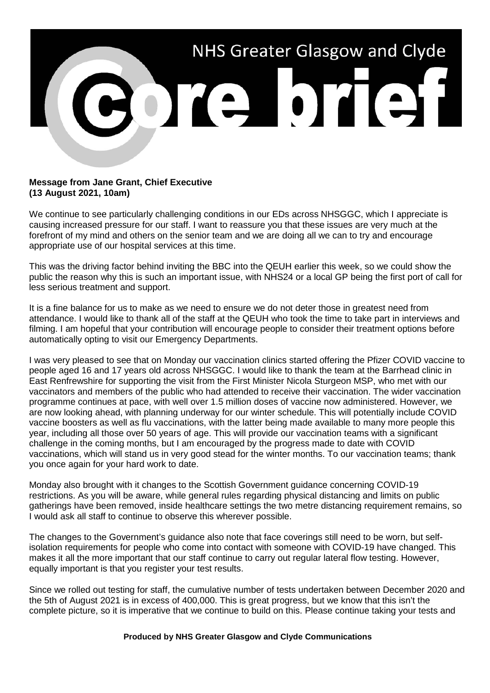

## **Message from Jane Grant, Chief Executive (13 August 2021, 10am)**

We continue to see particularly challenging conditions in our EDs across NHSGGC, which I appreciate is causing increased pressure for our staff. I want to reassure you that these issues are very much at the forefront of my mind and others on the senior team and we are doing all we can to try and encourage appropriate use of our hospital services at this time.

This was the driving factor behind inviting the BBC into the QEUH earlier this week, so we could show the public the reason why this is such an important issue, with NHS24 or a local GP being the first port of call for less serious treatment and support.

It is a fine balance for us to make as we need to ensure we do not deter those in greatest need from attendance. I would like to thank all of the staff at the QEUH who took the time to take part in interviews and filming. I am hopeful that your contribution will encourage people to consider their treatment options before automatically opting to visit our Emergency Departments.

I was very pleased to see that on Monday our vaccination clinics started offering the Pfizer COVID vaccine to people aged 16 and 17 years old across NHSGGC. I would like to thank the team at the Barrhead clinic in East Renfrewshire for supporting the visit from the First Minister Nicola Sturgeon MSP, who met with our vaccinators and members of the public who had attended to receive their vaccination. The wider vaccination programme continues at pace, with well over 1.5 million doses of vaccine now administered. However, we are now looking ahead, with planning underway for our winter schedule. This will potentially include COVID vaccine boosters as well as flu vaccinations, with the latter being made available to many more people this year, including all those over 50 years of age. This will provide our vaccination teams with a significant challenge in the coming months, but I am encouraged by the progress made to date with COVID vaccinations, which will stand us in very good stead for the winter months. To our vaccination teams; thank you once again for your hard work to date.

Monday also brought with it changes to the Scottish Government guidance concerning COVID-19 restrictions. As you will be aware, while general rules regarding physical distancing and limits on public gatherings have been removed, inside healthcare settings the two metre distancing requirement remains, so I would ask all staff to continue to observe this wherever possible.

The changes to the Government's guidance also note that face coverings still need to be worn, but selfisolation requirements for people who come into contact with someone with COVID-19 have changed. This makes it all the more important that our staff continue to carry out regular lateral flow testing. However, equally important is that you register your test results.

Since we rolled out testing for staff, the cumulative number of tests undertaken between December 2020 and the 5th of August 2021 is in excess of 400,000. This is great progress, but we know that this isn't the complete picture, so it is imperative that we continue to build on this. Please continue taking your tests and

**Produced by NHS Greater Glasgow and Clyde Communications**